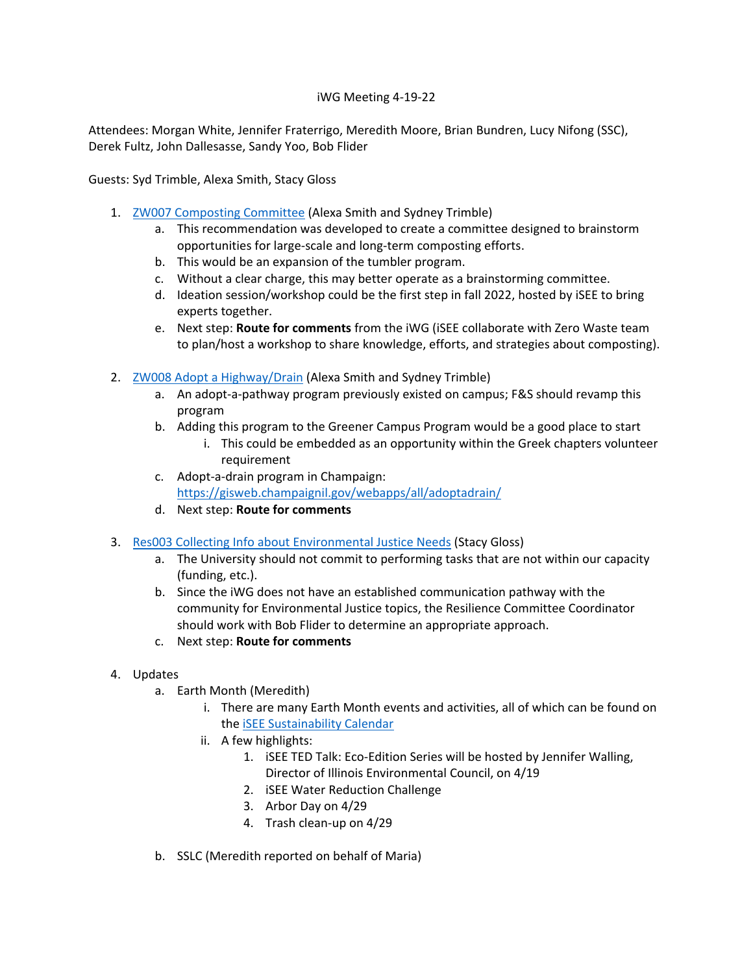## iWG Meeting 4-19-22

Attendees: Morgan White, Jennifer Fraterrigo, Meredith Moore, Brian Bundren, Lucy Nifong (SSC), Derek Fultz, John Dallesasse, Sandy Yoo, Bob Flider

Guests: Syd Trimble, Alexa Smith, Stacy Gloss

- 1. [ZW007 Composting Committee](https://icap.sustainability.illinois.edu/project-update/zw007-composting-committee-submitted) (Alexa Smith and Sydney Trimble)
	- a. This recommendation was developed to create a committee designed to brainstorm opportunities for large-scale and long-term composting efforts.
	- b. This would be an expansion of the tumbler program.
	- c. Without a clear charge, this may better operate as a brainstorming committee.
	- d. Ideation session/workshop could be the first step in fall 2022, hosted by iSEE to bring experts together.
	- e. Next step: **Route for comments** from the iWG (iSEE collaborate with Zero Waste team to plan/host a workshop to share knowledge, efforts, and strategies about composting).
- 2. [ZW008 Adopt a Highway/Drain](https://icap.sustainability.illinois.edu/project-update/zw008-adopt-highwaydrain-submitted) (Alexa Smith and Sydney Trimble)
	- a. An adopt-a-pathway program previously existed on campus; F&S should revamp this program
	- b. Adding this program to the Greener Campus Program would be a good place to start
		- i. This could be embedded as an opportunity within the Greek chapters volunteer requirement
	- c. Adopt-a-drain program in Champaign: <https://gisweb.champaignil.gov/webapps/all/adoptadrain/>
	- d. Next step: **Route for comments**
- 3. [Res003 Collecting Info about Environmental Justice Needs](https://icap.sustainability.illinois.edu/project-update/res003-collecting-info-about-environmental-justice-needs-submitted) (Stacy Gloss)
	- a. The University should not commit to performing tasks that are not within our capacity (funding, etc.).
	- b. Since the iWG does not have an established communication pathway with the community for Environmental Justice topics, the Resilience Committee Coordinator should work with Bob Flider to determine an appropriate approach.
	- c. Next step: **Route for comments**
- 4. Updates
	- a. Earth Month (Meredith)
		- i. There are many Earth Month events and activities, all of which can be found on the [iSEE Sustainability Calendar](https://sustainability.illinois.edu/outreach/calendar/)
		- ii. A few highlights:
			- 1. iSEE TED Talk: Eco-Edition Series will be hosted by Jennifer Walling, Director of Illinois Environmental Council, on 4/19
			- 2. iSEE Water Reduction Challenge
			- 3. Arbor Day on 4/29
			- 4. Trash clean-up on 4/29
	- b. SSLC (Meredith reported on behalf of Maria)